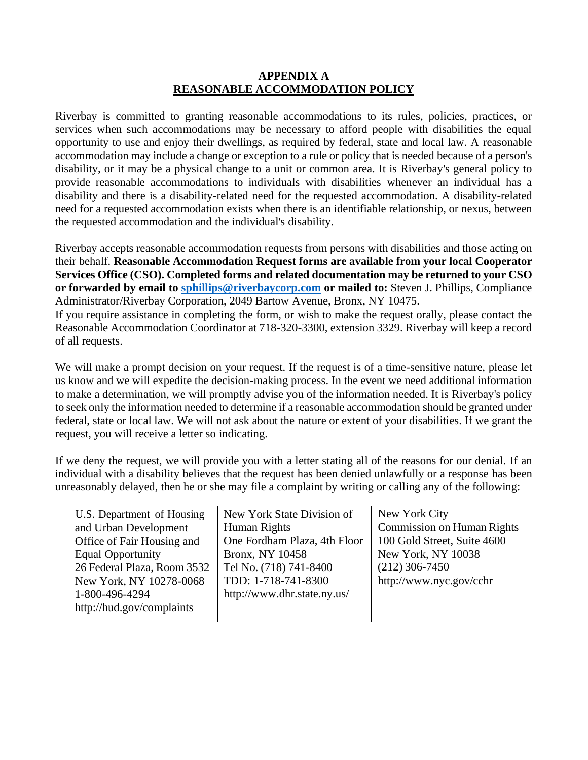### **APPENDIX A REASONABLE ACCOMMODATION POLICY**

Riverbay is committed to granting reasonable accommodations to its rules, policies, practices, or services when such accommodations may be necessary to afford people with disabilities the equal opportunity to use and enjoy their dwellings, as required by federal, state and local law. A reasonable accommodation may include a change or exception to a rule or policy that is needed because of a person's disability, or it may be a physical change to a unit or common area. It is Riverbay's general policy to provide reasonable accommodations to individuals with disabilities whenever an individual has a disability and there is a disability-related need for the requested accommodation. A disability-related need for a requested accommodation exists when there is an identifiable relationship, or nexus, between the requested accommodation and the individual's disability.

Riverbay accepts reasonable accommodation requests from persons with disabilities and those acting on their behalf. **Reasonable Accommodation Request forms are available from your local Cooperator Services Office (CSO). Completed forms and related documentation may be returned to your CSO or forwarded by email to [sphillips@riverbaycorp.com](mailto:sphillips@riverbaycorp.com) or mailed to:** Steven J. Phillips, Compliance Administrator/Riverbay Corporation, 2049 Bartow Avenue, Bronx, NY 10475.

If you require assistance in completing the form, or wish to make the request orally, please contact the Reasonable Accommodation Coordinator at 718-320-3300, extension 3329. Riverbay will keep a record of all requests.

We will make a prompt decision on your request. If the request is of a time-sensitive nature, please let us know and we will expedite the decision-making process. In the event we need additional information to make a determination, we will promptly advise you of the information needed. It is Riverbay's policy to seek only the information needed to determine if a reasonable accommodation should be granted under federal, state or local law. We will not ask about the nature or extent of your disabilities. If we grant the request, you will receive a letter so indicating.

If we deny the request, we will provide you with a letter stating all of the reasons for our denial. If an individual with a disability believes that the request has been denied unlawfully or a response has been unreasonably delayed, then he or she may file a complaint by writing or calling any of the following:

| U.S. Department of Housing  | New York State Division of   | New York City                     |  |
|-----------------------------|------------------------------|-----------------------------------|--|
| and Urban Development       | Human Rights                 | <b>Commission on Human Rights</b> |  |
| Office of Fair Housing and  | One Fordham Plaza, 4th Floor | 100 Gold Street, Suite 4600       |  |
| <b>Equal Opportunity</b>    | Bronx, NY 10458              | New York, NY 10038                |  |
| 26 Federal Plaza, Room 3532 | Tel No. (718) 741-8400       | $(212)$ 306-7450                  |  |
| New York, NY 10278-0068     | TDD: 1-718-741-8300          | http://www.nyc.gov/cchr           |  |
| 1-800-496-4294              | http://www.dhr.state.ny.us/  |                                   |  |
| http://hud.gov/complaints   |                              |                                   |  |
|                             |                              |                                   |  |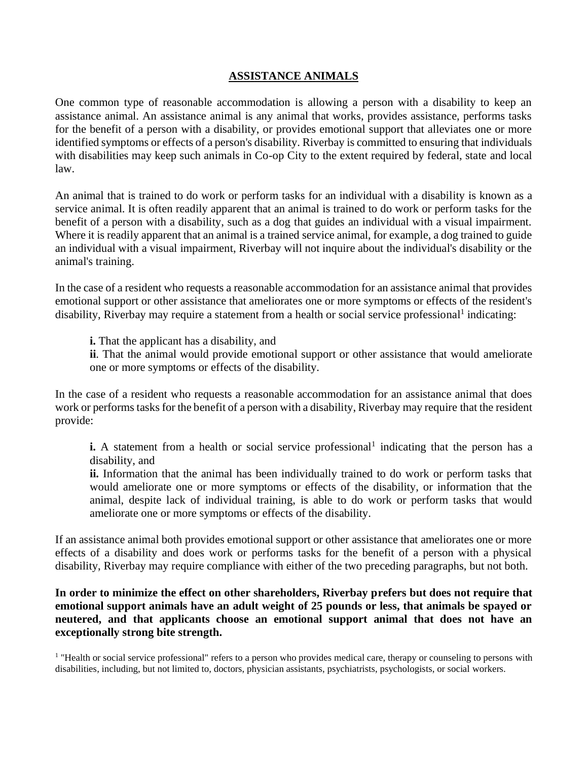### **ASSISTANCE ANIMALS**

One common type of reasonable accommodation is allowing a person with a disability to keep an assistance animal. An assistance animal is any animal that works, provides assistance, performs tasks for the benefit of a person with a disability, or provides emotional support that alleviates one or more identified symptoms or effects of a person's disability. Riverbay is committed to ensuring that individuals with disabilities may keep such animals in Co-op City to the extent required by federal, state and local law.

An animal that is trained to do work or perform tasks for an individual with a disability is known as a service animal. It is often readily apparent that an animal is trained to do work or perform tasks for the benefit of a person with a disability, such as a dog that guides an individual with a visual impairment. Where it is readily apparent that an animal is a trained service animal, for example, a dog trained to guide an individual with a visual impairment, Riverbay will not inquire about the individual's disability or the animal's training.

In the case of a resident who requests a reasonable accommodation for an assistance animal that provides emotional support or other assistance that ameliorates one or more symptoms or effects of the resident's disability, Riverbay may require a statement from a health or social service professional<sup>1</sup> indicating:

**i.** That the applicant has a disability, and

**ii**. That the animal would provide emotional support or other assistance that would ameliorate one or more symptoms or effects of the disability.

In the case of a resident who requests a reasonable accommodation for an assistance animal that does work or performs tasks for the benefit of a person with a disability, Riverbay may require that the resident provide:

**i.** A statement from a health or social service professional<sup>1</sup> indicating that the person has a disability, and

**ii.** Information that the animal has been individually trained to do work or perform tasks that would ameliorate one or more symptoms or effects of the disability, or information that the animal, despite lack of individual training, is able to do work or perform tasks that would ameliorate one or more symptoms or effects of the disability.

If an assistance animal both provides emotional support or other assistance that ameliorates one or more effects of a disability and does work or performs tasks for the benefit of a person with a physical disability, Riverbay may require compliance with either of the two preceding paragraphs, but not both.

**In order to minimize the effect on other shareholders, Riverbay prefers but does not require that emotional support animals have an adult weight of 25 pounds or less, that animals be spayed or neutered, and that applicants choose an emotional support animal that does not have an exceptionally strong bite strength.**

<sup>1</sup> "Health or social service professional" refers to a person who provides medical care, therapy or counseling to persons with disabilities, including, but not limited to, doctors, physician assistants, psychiatrists, psychologists, or social workers.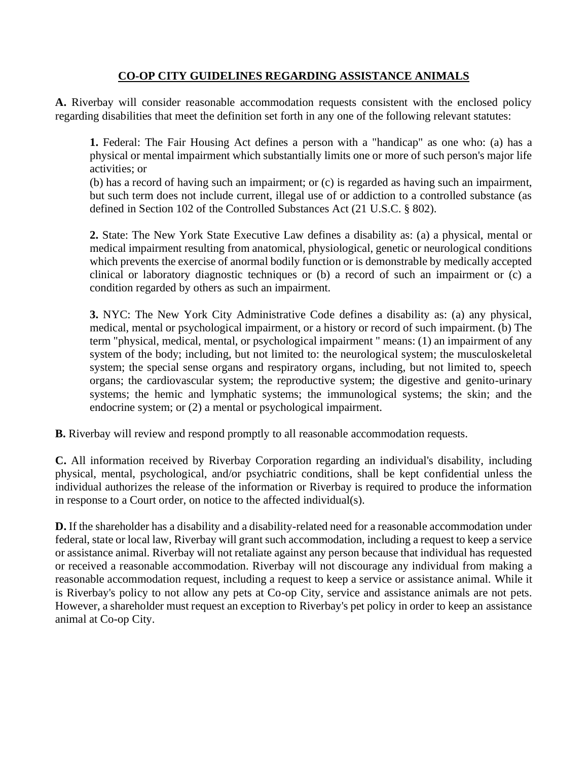## **CO-OP CITY GUIDELINES REGARDING ASSISTANCE ANIMALS**

**A.** Riverbay will consider reasonable accommodation requests consistent with the enclosed policy regarding disabilities that meet the definition set forth in any one of the following relevant statutes:

**1.** Federal: The Fair Housing Act defines a person with a "handicap" as one who: (a) has a physical or mental impairment which substantially limits one or more of such person's major life activities; or

(b) has a record of having such an impairment; or (c) is regarded as having such an impairment, but such term does not include current, illegal use of or addiction to a controlled substance (as defined in Section 102 of the Controlled Substances Act (21 U.S.C. § 802).

**2.** State: The New York State Executive Law defines a disability as: (a) a physical, mental or medical impairment resulting from anatomical, physiological, genetic or neurological conditions which prevents the exercise of anormal bodily function or is demonstrable by medically accepted clinical or laboratory diagnostic techniques or (b) a record of such an impairment or (c) a condition regarded by others as such an impairment.

**3.** NYC: The New York City Administrative Code defines a disability as: (a) any physical, medical, mental or psychological impairment, or a history or record of such impairment. (b) The term "physical, medical, mental, or psychological impairment " means: (1) an impairment of any system of the body; including, but not limited to: the neurological system; the musculoskeletal system; the special sense organs and respiratory organs, including, but not limited to, speech organs; the cardiovascular system; the reproductive system; the digestive and genito-urinary systems; the hemic and lymphatic systems; the immunological systems; the skin; and the endocrine system; or (2) a mental or psychological impairment.

**B.** Riverbay will review and respond promptly to all reasonable accommodation requests.

**C.** All information received by Riverbay Corporation regarding an individual's disability, including physical, mental, psychological, and/or psychiatric conditions, shall be kept confidential unless the individual authorizes the release of the information or Riverbay is required to produce the information in response to a Court order, on notice to the affected individual(s).

**D.** If the shareholder has a disability and a disability-related need for a reasonable accommodation under federal, state or local law, Riverbay will grant such accommodation, including a request to keep a service or assistance animal. Riverbay will not retaliate against any person because that individual has requested or received a reasonable accommodation. Riverbay will not discourage any individual from making a reasonable accommodation request, including a request to keep a service or assistance animal. While it is Riverbay's policy to not allow any pets at Co-op City, service and assistance animals are not pets. However, a shareholder must request an exception to Riverbay's pet policy in order to keep an assistance animal at Co-op City.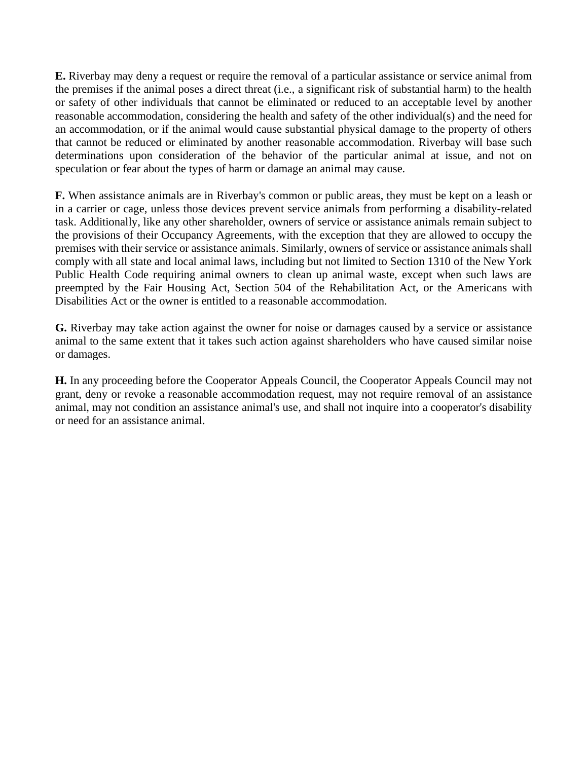**E.** Riverbay may deny a request or require the removal of a particular assistance or service animal from the premises if the animal poses a direct threat (i.e., a significant risk of substantial harm) to the health or safety of other individuals that cannot be eliminated or reduced to an acceptable level by another reasonable accommodation, considering the health and safety of the other individual(s) and the need for an accommodation, or if the animal would cause substantial physical damage to the property of others that cannot be reduced or eliminated by another reasonable accommodation. Riverbay will base such determinations upon consideration of the behavior of the particular animal at issue, and not on speculation or fear about the types of harm or damage an animal may cause.

**F.** When assistance animals are in Riverbay's common or public areas, they must be kept on a leash or in a carrier or cage, unless those devices prevent service animals from performing a disability-related task. Additionally, like any other shareholder, owners of service or assistance animals remain subject to the provisions of their Occupancy Agreements, with the exception that they are allowed to occupy the premises with their service or assistance animals. Similarly, owners of service or assistance animals shall comply with all state and local animal laws, including but not limited to Section 1310 of the New York Public Health Code requiring animal owners to clean up animal waste, except when such laws are preempted by the Fair Housing Act, Section 504 of the Rehabilitation Act, or the Americans with Disabilities Act or the owner is entitled to a reasonable accommodation.

**G.** Riverbay may take action against the owner for noise or damages caused by a service or assistance animal to the same extent that it takes such action against shareholders who have caused similar noise or damages.

**H.** In any proceeding before the Cooperator Appeals Council, the Cooperator Appeals Council may not grant, deny or revoke a reasonable accommodation request, may not require removal of an assistance animal, may not condition an assistance animal's use, and shall not inquire into a cooperator's disability or need for an assistance animal.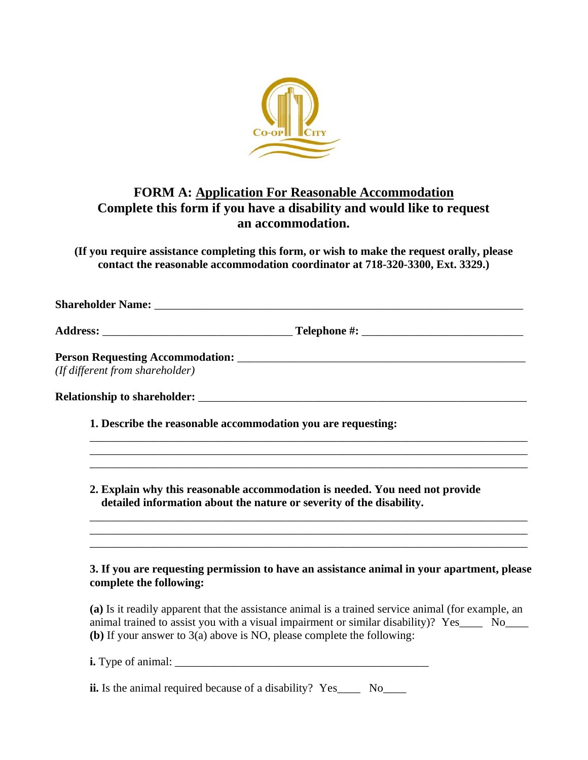

# **FORM A: Application For Reasonable Accommodation Complete this form if you have a disability and would like to request an accommodation.**

**(If you require assistance completing this form, or wish to make the request orally, please contact the reasonable accommodation coordinator at 718-320-3300, Ext. 3329.)**

| (If different from shareholder)                              |                                                                                                                                                                                                                                           |
|--------------------------------------------------------------|-------------------------------------------------------------------------------------------------------------------------------------------------------------------------------------------------------------------------------------------|
|                                                              |                                                                                                                                                                                                                                           |
| 1. Describe the reasonable accommodation you are requesting: |                                                                                                                                                                                                                                           |
|                                                              | 2. Explain why this reasonable accommodation is needed. You need not provide<br>detailed information about the nature or severity of the disability.<br>,我们也不能在这里的人,我们也不能在这里的人,我们也不能在这里的人,我们也不能在这里的人,我们也不能在这里的人,我们也不能在这里的人,我们也不能在这里的人,我们也 |
| complete the following:                                      | 3. If you are requesting permission to have an assistance animal in your apartment, please                                                                                                                                                |
|                                                              | (a) Is it readily apparent that the assistance animal is a trained service animal (for example, an<br>animal trained to assist you with a visual impairment or similar disability)? Yes____ No____                                        |

**(b)** If your answer to 3(a) above is NO, please complete the following: **i.** Type of animal: \_\_\_\_\_\_\_\_\_\_\_\_\_\_\_\_\_\_\_\_\_\_\_\_\_\_\_\_\_\_\_\_\_\_\_\_\_\_\_\_\_\_\_\_

**ii.** Is the animal required because of a disability? Yes\_\_\_\_ No\_\_\_\_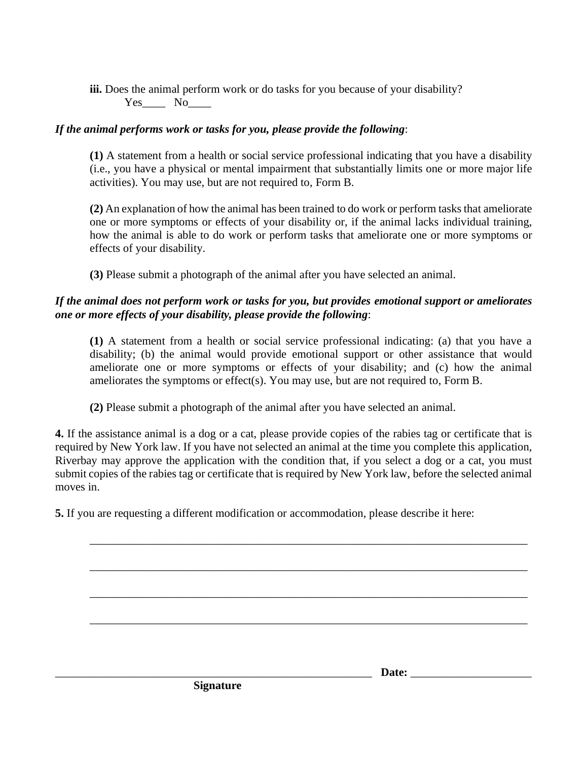**iii.** Does the animal perform work or do tasks for you because of your disability?  $Yes$  No\_\_\_\_\_\_\_

## *If the animal performs work or tasks for you, please provide the following*:

**(1)** A statement from a health or social service professional indicating that you have a disability (i.e., you have a physical or mental impairment that substantially limits one or more major life activities). You may use, but are not required to, Form B.

**(2)** An explanation of how the animal has been trained to do work or perform tasks that ameliorate one or more symptoms or effects of your disability or, if the animal lacks individual training, how the animal is able to do work or perform tasks that ameliorate one or more symptoms or effects of your disability.

**(3)** Please submit a photograph of the animal after you have selected an animal.

### *If the animal does not perform work or tasks for you, but provides emotional support or ameliorates one or more effects of your disability, please provide the following*:

**(1)** A statement from a health or social service professional indicating: (a) that you have a disability; (b) the animal would provide emotional support or other assistance that would ameliorate one or more symptoms or effects of your disability; and (c) how the animal ameliorates the symptoms or effect(s). You may use, but are not required to, Form B.

**(2)** Please submit a photograph of the animal after you have selected an animal.

**4.** If the assistance animal is a dog or a cat, please provide copies of the rabies tag or certificate that is required by New York law. If you have not selected an animal at the time you complete this application, Riverbay may approve the application with the condition that, if you select a dog or a cat, you must submit copies of the rabies tag or certificate that is required by New York law, before the selected animal moves in.

\_\_\_\_\_\_\_\_\_\_\_\_\_\_\_\_\_\_\_\_\_\_\_\_\_\_\_\_\_\_\_\_\_\_\_\_\_\_\_\_\_\_\_\_\_\_\_\_\_\_\_\_\_\_\_\_\_\_\_\_\_\_\_\_\_\_\_\_\_\_\_\_\_\_\_\_

\_\_\_\_\_\_\_\_\_\_\_\_\_\_\_\_\_\_\_\_\_\_\_\_\_\_\_\_\_\_\_\_\_\_\_\_\_\_\_\_\_\_\_\_\_\_\_\_\_\_\_\_\_\_\_\_\_\_\_\_\_\_\_\_\_\_\_\_\_\_\_\_\_\_\_\_

\_\_\_\_\_\_\_\_\_\_\_\_\_\_\_\_\_\_\_\_\_\_\_\_\_\_\_\_\_\_\_\_\_\_\_\_\_\_\_\_\_\_\_\_\_\_\_\_\_\_\_\_\_\_\_\_\_\_\_\_\_\_\_\_\_\_\_\_\_\_\_\_\_\_\_\_

\_\_\_\_\_\_\_\_\_\_\_\_\_\_\_\_\_\_\_\_\_\_\_\_\_\_\_\_\_\_\_\_\_\_\_\_\_\_\_\_\_\_\_\_\_\_\_\_\_\_\_\_\_\_\_\_\_\_\_\_\_\_\_\_\_\_\_\_\_\_\_\_\_\_\_\_

**5.** If you are requesting a different modification or accommodation, please describe it here:

**Signature**

\_\_\_\_\_\_\_\_\_\_\_\_\_\_\_\_\_\_\_\_\_\_\_\_\_\_\_\_\_\_\_\_\_\_\_\_\_\_\_\_\_\_\_\_\_\_\_\_\_\_\_\_\_\_\_ **Date:** \_\_\_\_\_\_\_\_\_\_\_\_\_\_\_\_\_\_\_\_\_